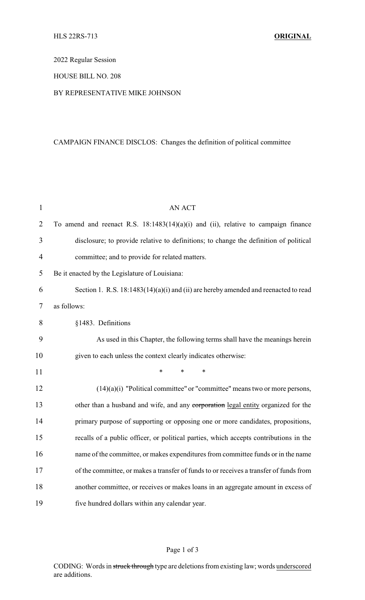## 2022 Regular Session

## HOUSE BILL NO. 208

### BY REPRESENTATIVE MIKE JOHNSON

# CAMPAIGN FINANCE DISCLOS: Changes the definition of political committee

| $\mathbf{1}$   | <b>AN ACT</b>                                                                          |  |  |
|----------------|----------------------------------------------------------------------------------------|--|--|
| $\overline{2}$ | To amend and reenact R.S. $18:1483(14)(a)(i)$ and (ii), relative to campaign finance   |  |  |
| 3              | disclosure; to provide relative to definitions; to change the definition of political  |  |  |
| $\overline{4}$ | committee; and to provide for related matters.                                         |  |  |
| 5              | Be it enacted by the Legislature of Louisiana:                                         |  |  |
| 6              | Section 1. R.S. $18:1483(14)(a)(i)$ and (ii) are hereby amended and reenacted to read  |  |  |
| 7              | as follows:                                                                            |  |  |
| 8              | §1483. Definitions                                                                     |  |  |
| 9              | As used in this Chapter, the following terms shall have the meanings herein            |  |  |
| 10             | given to each unless the context clearly indicates otherwise:                          |  |  |
| 11             | *<br>*                                                                                 |  |  |
| 12             | $(14)(a)(i)$ "Political committee" or "committee" means two or more persons,           |  |  |
| 13             | other than a husband and wife, and any corporation legal entity organized for the      |  |  |
| 14             | primary purpose of supporting or opposing one or more candidates, propositions,        |  |  |
| 15             | recalls of a public officer, or political parties, which accepts contributions in the  |  |  |
| 16             | name of the committee, or makes expenditures from committee funds or in the name       |  |  |
| 17             | of the committee, or makes a transfer of funds to or receives a transfer of funds from |  |  |
| 18             | another committee, or receives or makes loans in an aggregate amount in excess of      |  |  |
| 19             | five hundred dollars within any calendar year.                                         |  |  |

# Page 1 of 3

CODING: Words in struck through type are deletions from existing law; words underscored are additions.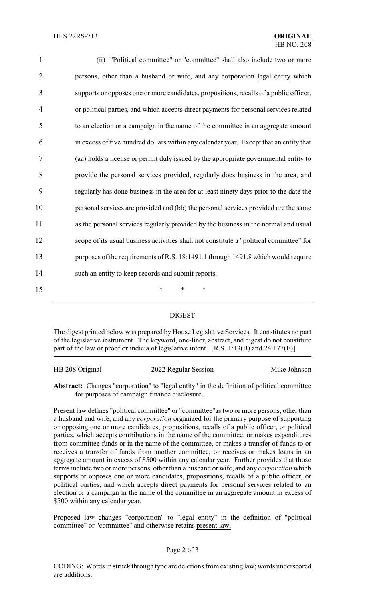| $\mathbf{1}$   | (ii) "Political committee" or "committee" shall also include two or more                |
|----------------|-----------------------------------------------------------------------------------------|
| $\overline{2}$ | persons, other than a husband or wife, and any corporation legal entity which           |
| 3              | supports or opposes one or more candidates, propositions, recalls of a public officer,  |
| 4              | or political parties, and which accepts direct payments for personal services related   |
| 5              | to an election or a campaign in the name of the committee in an aggregate amount        |
| 6              | in excess of five hundred dollars within any calendar year. Except that an entity that  |
| 7              | (aa) holds a license or permit duly issued by the appropriate governmental entity to    |
| 8              | provide the personal services provided, regularly does business in the area, and        |
| 9              | regularly has done business in the area for at least ninety days prior to the date the  |
| 10             | personal services are provided and (bb) the personal services provided are the same     |
| 11             | as the personal services regularly provided by the business in the normal and usual     |
| 12             | scope of its usual business activities shall not constitute a "political committee" for |
| 13             | purposes of the requirements of R.S. 18:1491.1 through 1491.8 which would require       |
| 14             | such an entity to keep records and submit reports.                                      |
| 15             | *<br>∗<br>*                                                                             |

#### DIGEST

The digest printed below was prepared by House Legislative Services. It constitutes no part of the legislative instrument. The keyword, one-liner, abstract, and digest do not constitute part of the law or proof or indicia of legislative intent. [R.S. 1:13(B) and 24:177(E)]

| HB 208 Original | 2022 Regular Session | Mike Johnson |
|-----------------|----------------------|--------------|
|                 |                      |              |

**Abstract:** Changes "corporation" to "legal entity" in the definition of political committee for purposes of campaign finance disclosure.

Present law defines "political committee" or "committee"as two or more persons, other than a husband and wife, and any *corporation* organized for the primary purpose of supporting or opposing one or more candidates, propositions, recalls of a public officer, or political parties, which accepts contributions in the name of the committee, or makes expenditures from committee funds or in the name of the committee, or makes a transfer of funds to or receives a transfer of funds from another committee, or receives or makes loans in an aggregate amount in excess of \$500 within any calendar year. Further provides that those terms include two or more persons, other than a husband or wife, and any *corporation* which supports or opposes one or more candidates, propositions, recalls of a public officer, or political parties, and which accepts direct payments for personal services related to an election or a campaign in the name of the committee in an aggregate amount in excess of \$500 within any calendar year.

Proposed law changes "corporation" to "legal entity" in the definition of "political committee" or "committee" and otherwise retains present law.

#### Page 2 of 3